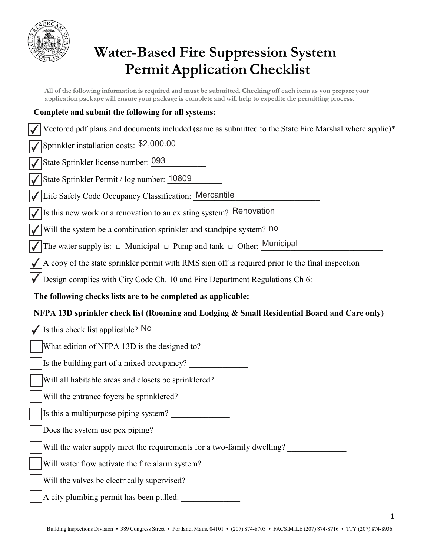

## **Water-Based Fire Suppression System Permit Application Checklist**

**All of the following information is required and must be submitted. Checking off each item as you prepare your application package will ensure your package is complete and will help to expedite the permitting process.**

| Complete and submit the following for all systems:                                                    |  |
|-------------------------------------------------------------------------------------------------------|--|
| Vectored pdf plans and documents included (same as submitted to the State Fire Marshal where applic)* |  |
| Sprinkler installation costs: \$2,000.00                                                              |  |
| State Sprinkler license number: 093                                                                   |  |
| State Sprinkler Permit / log number: 10809                                                            |  |
| Life Safety Code Occupancy Classification: Mercantile                                                 |  |
| Is this new work or a renovation to an existing system? Renovation                                    |  |
| Will the system be a combination sprinkler and standpipe system? no                                   |  |
| The water supply is: $\Box$ Municipal $\Box$ Pump and tank $\Box$ Other: Municipal                    |  |
| A copy of the state sprinkler permit with RMS sign off is required prior to the final inspection      |  |
| Design complies with City Code Ch. 10 and Fire Department Regulations Ch 6:                           |  |
| The following checks lists are to be completed as applicable:                                         |  |
|                                                                                                       |  |
| NFPA 13D sprinkler check list (Rooming and Lodging & Small Residential Board and Care only)           |  |
| Is this check list applicable? No                                                                     |  |
| What edition of NFPA 13D is the designed to?                                                          |  |
|                                                                                                       |  |
| Will all habitable areas and closets be sprinklered?                                                  |  |
| Will the entrance foyers be sprinklered?                                                              |  |
| Is this a multipurpose piping system?                                                                 |  |
| Does the system use pex piping?                                                                       |  |
| Will the water supply meet the requirements for a two-family dwelling?                                |  |
| Will water flow activate the fire alarm system?                                                       |  |
| Will the valves be electrically supervised?                                                           |  |

**1**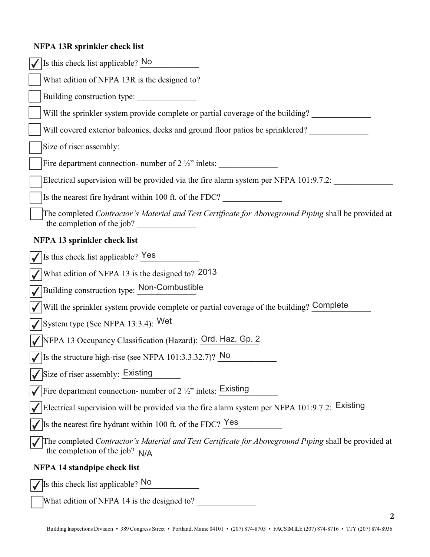## **NFPA 13R sprinkler check list**

| Is this check list applicable? No                                                                                                        |
|------------------------------------------------------------------------------------------------------------------------------------------|
| What edition of NFPA 13R is the designed to?                                                                                             |
| Building construction type:                                                                                                              |
| Will the sprinkler system provide complete or partial coverage of the building?                                                          |
| Will covered exterior balconies, decks and ground floor patios be sprinklered?                                                           |
| Size of riser assembly:                                                                                                                  |
| Fire department connection- number of $2 \frac{1}{2}$ inlets:                                                                            |
| Electrical supervision will be provided via the fire alarm system per NFPA 101:9.7.2:                                                    |
| Is the nearest fire hydrant within 100 ft. of the FDC?                                                                                   |
| The completed Contractor's Material and Test Certificate for Aboveground Piping shall be provided at<br>the completion of the job?       |
| NFPA 13 sprinkler check list                                                                                                             |
| $\sqrt{\text{Is}}$ list check list applicable? Yes                                                                                       |
| What edition of NFPA 13 is the designed to? 2013                                                                                         |
| Building construction type: Non-Combustible                                                                                              |
| Will the sprinkler system provide complete or partial coverage of the building? Complete                                                 |
| System type (See NFPA 13:3.4): $W$ et                                                                                                    |
| √ NFPA 13 Occupancy Classification (Hazard): Ord. Haz. Gp. 2                                                                             |
| $\sqrt{\text{ls}}$ is the structure high-rise (see NFPA 101:3.3.32.7)? No                                                                |
| Size of riser assembly: Existing                                                                                                         |
| Fire department connection- number of 2 $\frac{1}{2}$ inlets: $\frac{1}{2}$ insting                                                      |
| Electrical supervision will be provided via the fire alarm system per NFPA 101:9.7.2: Existing                                           |
| Is the nearest fire hydrant within 100 ft. of the FDC? Yes                                                                               |
| The completed Contractor's Material and Test Certificate for Aboveground Piping shall be provided at<br>the completion of the job? $N/A$ |
| <b>NFPA 14 standpipe check list</b>                                                                                                      |
| Is this check list applicable? No                                                                                                        |

What edition of NFPA 14 is the designed to?

**2**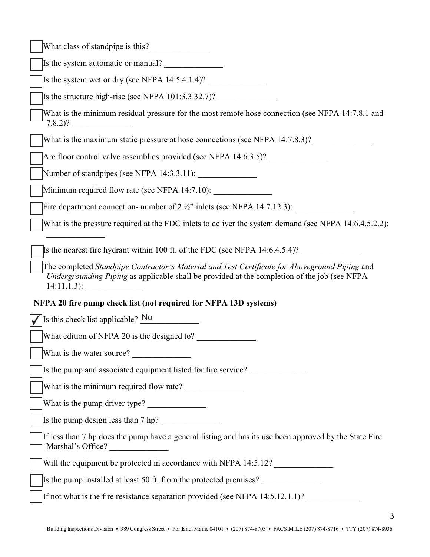| What class of standpipe is this?                                                                                                                                                                                                                                                               |
|------------------------------------------------------------------------------------------------------------------------------------------------------------------------------------------------------------------------------------------------------------------------------------------------|
| Is the system automatic or manual?                                                                                                                                                                                                                                                             |
| Is the system wet or dry (see NFPA $14:5.4.1.4$ )?                                                                                                                                                                                                                                             |
| Is the structure high-rise (see NFPA $101:3.3.32.7$ )?                                                                                                                                                                                                                                         |
| What is the minimum residual pressure for the most remote hose connection (see NFPA 14:7.8.1 and<br>$7.8.2$ ?                                                                                                                                                                                  |
| What is the maximum static pressure at hose connections (see NFPA 14:7.8.3)?                                                                                                                                                                                                                   |
| Are floor control valve assemblies provided (see NFPA 14:6.3.5)?                                                                                                                                                                                                                               |
|                                                                                                                                                                                                                                                                                                |
| Minimum required flow rate (see NFPA 14:7.10): _________________________________                                                                                                                                                                                                               |
| Fire department connection- number of $2\frac{1}{2}$ " inlets (see NFPA 14:7.12.3):                                                                                                                                                                                                            |
| What is the pressure required at the FDC inlets to deliver the system demand (see NFPA 14:6.4.5.2.2):                                                                                                                                                                                          |
| Is the nearest fire hydrant within 100 ft. of the FDC (see NFPA 14:6.4.5.4)?<br>The completed Standpipe Contractor's Material and Test Certificate for Aboveground Piping and<br>Undergrounding Piping as applicable shall be provided at the completion of the job (see NFPA<br>$14:11.1.3$ : |
| NFPA 20 fire pump check list (not required for NFPA 13D systems)                                                                                                                                                                                                                               |
| Is this check list applicable? No                                                                                                                                                                                                                                                              |
| What edition of NFPA 20 is the designed to?                                                                                                                                                                                                                                                    |
| What is the water source?                                                                                                                                                                                                                                                                      |
| Is the pump and associated equipment listed for fire service?                                                                                                                                                                                                                                  |
|                                                                                                                                                                                                                                                                                                |
| What is the pump driver type?                                                                                                                                                                                                                                                                  |
| Is the pump design less than 7 hp?                                                                                                                                                                                                                                                             |
| If less than 7 hp does the pump have a general listing and has its use been approved by the State Fire<br>Marshal's Office?                                                                                                                                                                    |
| Will the equipment be protected in accordance with NFPA 14:5.12?                                                                                                                                                                                                                               |
| Is the pump installed at least 50 ft. from the protected premises?                                                                                                                                                                                                                             |
| If not what is the fire resistance separation provided (see NFPA 14:5.12.1.1)?                                                                                                                                                                                                                 |

**3**